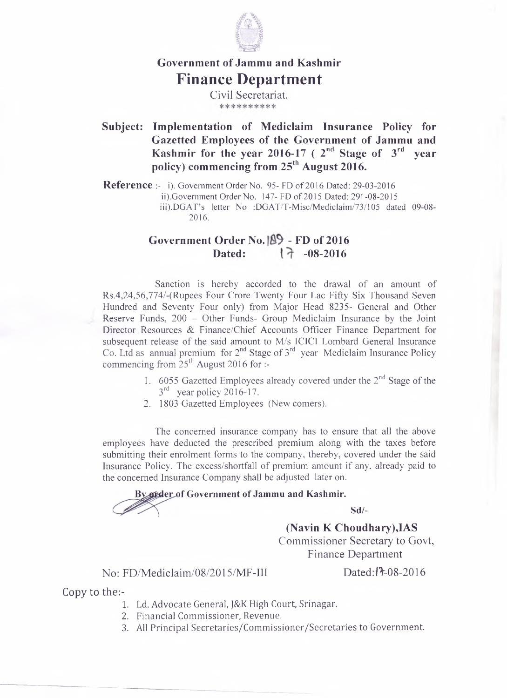

## **Government of Jammu and Kashmir Finance Department**

Civil Secretariat.

**Subject: Implementation of Mediclaim Insurance Policy for Gazetted Employees of the Government of Jammu and Kashmir for the year 2016-17 ( 2nd Stage of 3rd year policy) commencing from 25th August 2016.**

**Reference** i). Government Order No. 95- FD of 2016 Dated: 29-03-2016 ii) .Government Order No. 147- FD of 2015 Dated: *29<* -08-2015 iii).DGAT's letter No :DGAT/T-Misc/Mediclaim/73/105 dated 09-08-2016.

## Government Order No. <sup>89</sup> - FD of 2016 Dated:  $17 - 08 - 2016$

Sanction is hereby accorded to the drawal of an amount of Rs.4,24,56,774/-(Rupees Four Crore Twenty Four Lac Fifty Six Thousand Seven Hundred and Seventy Four only) from Major Head 8235- General and Other Reserve Funds,  $200$  = Other Funds- Group Mediclaim Insurance by the Joint Director Resources & Finance/Chief Accounts Officer Finance Department for subsequent release of the said amount to M/s ICICI Lombard General Insurance Co. Ltd as annual premium for 2<sup>nd</sup> Stage of 3<sup>rd</sup> year Mediclaim Insurance Policy commencing from  $25<sup>th</sup>$  August 2016 for :-

- 1. 6055 Gazetted Employees already covered under the  $2<sup>nd</sup>$  Stage of the  $3<sup>rd</sup>$  year policy 2016-17.
- 2. 1803 Gazetted Employees (New comers).

The concerned insurance company has to ensure that all the above employees have deducted the prescribed premium along with the taxes before submitting their enrolment forms to the company, thereby, covered under the said Insurance Policy. The excess/shortfall of premium amount if any, already paid to the concerned Insurance Company shall be adjusted later on.

## **f Government of Jammu and Kashmir.**

**Sd/-**

**(Navin K Choudhary),IAS** Commissioner Secretary to Govt, Finance Department

No: FD/Mediclaim/08/2015/MF-III Dated:t<sup>7</sup>-08-2016

Copy to the:-

- 1. Ld. Advocate General, J&K High Court, Srinagar.
- 2. Financial Commissioner, Revenue.
- 3. All Principal Secretaries/Commissioner/Secretaries to Government.